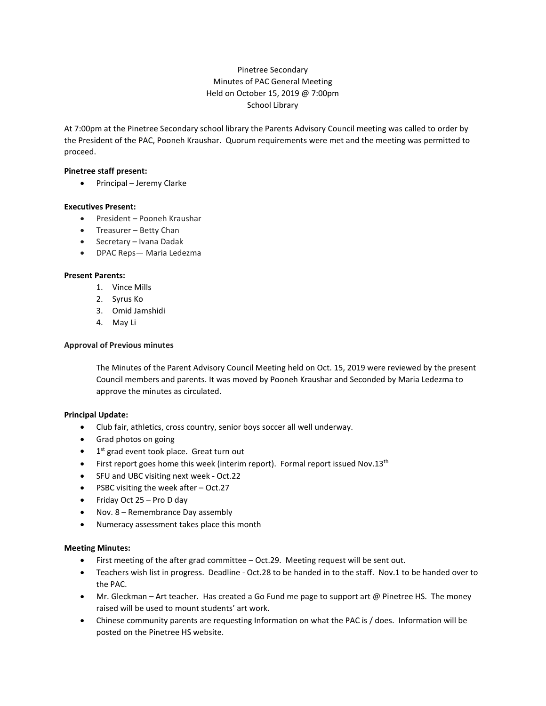# Pinetree Secondary Minutes of PAC General Meeting Held on October 15, 2019 @ 7:00pm School Library

At 7:00pm at the Pinetree Secondary school library the Parents Advisory Council meeting was called to order by the President of the PAC, Pooneh Kraushar. Quorum requirements were met and the meeting was permitted to proceed.

#### **Pinetree staff present:**

• Principal – Jeremy Clarke

#### **Executives Present:**

- President Pooneh Kraushar
- Treasurer Betty Chan
- Secretary Ivana Dadak
- DPAC Reps— Maria Ledezma

#### **Present Parents:**

- 1. Vince Mills
- 2. Syrus Ko
- 3. Omid Jamshidi
- 4. May Li

## **Approval of Previous minutes**

The Minutes of the Parent Advisory Council Meeting held on Oct. 15, 2019 were reviewed by the present Council members and parents. It was moved by Pooneh Kraushar and Seconded by Maria Ledezma to approve the minutes as circulated.

## **Principal Update:**

- Club fair, athletics, cross country, senior boys soccer all well underway.
- Grad photos on going
- $\bullet$  1<sup>st</sup> grad event took place. Great turn out
- First report goes home this week (interim report). Formal report issued Nov.13<sup>th</sup>
- SFU and UBC visiting next week Oct.22
- PSBC visiting the week after Oct.27
- Friday Oct 25 Pro D day
- Nov. 8 Remembrance Day assembly
- Numeracy assessment takes place this month

## **Meeting Minutes:**

- First meeting of the after grad committee Oct.29. Meeting request will be sent out.
- Teachers wish list in progress. Deadline Oct.28 to be handed in to the staff. Nov.1 to be handed over to the PAC.
- Mr. Gleckman Art teacher. Has created a Go Fund me page to support art @ Pinetree HS. The money raised will be used to mount students' art work.
- Chinese community parents are requesting Information on what the PAC is / does. Information will be posted on the Pinetree HS website.